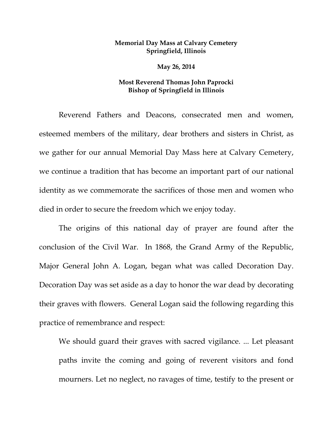## **Memorial Day Mass at Calvary Cemetery Springfield, Illinois**

**May 26, 2014** 

## **Most Reverend Thomas John Paprocki Bishop of Springfield in Illinois**

Reverend Fathers and Deacons, consecrated men and women, esteemed members of the military, dear brothers and sisters in Christ, as we gather for our annual Memorial Day Mass here at Calvary Cemetery, we continue a tradition that has become an important part of our national identity as we commemorate the sacrifices of those men and women who died in order to secure the freedom which we enjoy today.

The origins of this national day of prayer are found after the conclusion of the Civil War. In 1868, the Grand Army of the Republic, Major General John A. Logan, began what was called Decoration Day. Decoration Day was set aside as a day to honor the war dead by decorating their graves with flowers. General Logan said the following regarding this practice of remembrance and respect:

We should guard their graves with sacred vigilance. ... Let pleasant paths invite the coming and going of reverent visitors and fond mourners. Let no neglect, no ravages of time, testify to the present or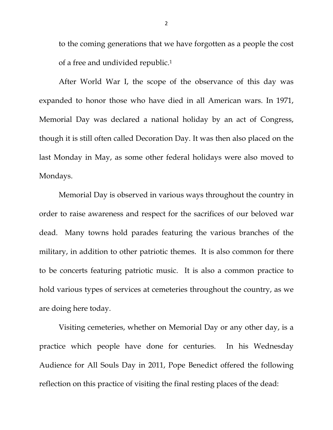to the coming generations that we have forgotten as a people the cost of a free and undivided republic.1

 After World War I, the scope of the observance of this day was expanded to honor those who have died in all American wars. In 1971, Memorial Day was declared a national holiday by an act of Congress, though it is still often called Decoration Day. It was then also placed on the last Monday in May, as some other federal holidays were also moved to Mondays.

 Memorial Day is observed in various ways throughout the country in order to raise awareness and respect for the sacrifices of our beloved war dead. Many towns hold parades featuring the various branches of the military, in addition to other patriotic themes. It is also common for there to be concerts featuring patriotic music. It is also a common practice to hold various types of services at cemeteries throughout the country, as we are doing here today.

 Visiting cemeteries, whether on Memorial Day or any other day, is a practice which people have done for centuries. In his Wednesday Audience for All Souls Day in 2011, Pope Benedict offered the following reflection on this practice of visiting the final resting places of the dead: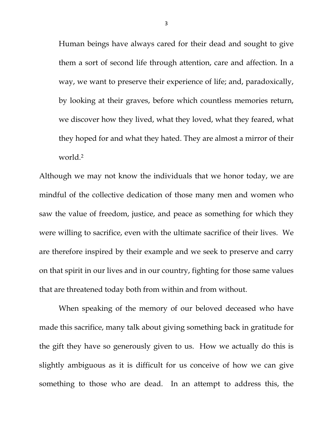Human beings have always cared for their dead and sought to give them a sort of second life through attention, care and affection. In a way, we want to preserve their experience of life; and, paradoxically, by looking at their graves, before which countless memories return, we discover how they lived, what they loved, what they feared, what they hoped for and what they hated. They are almost a mirror of their world.2

Although we may not know the individuals that we honor today, we are mindful of the collective dedication of those many men and women who saw the value of freedom, justice, and peace as something for which they were willing to sacrifice, even with the ultimate sacrifice of their lives. We are therefore inspired by their example and we seek to preserve and carry on that spirit in our lives and in our country, fighting for those same values that are threatened today both from within and from without.

When speaking of the memory of our beloved deceased who have made this sacrifice, many talk about giving something back in gratitude for the gift they have so generously given to us. How we actually do this is slightly ambiguous as it is difficult for us conceive of how we can give something to those who are dead. In an attempt to address this, the

3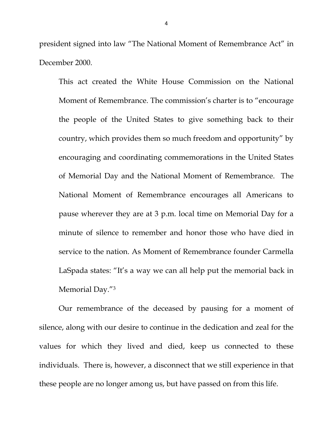president signed into law "The National Moment of Remembrance Act" in December 2000.

This act created the White House Commission on the National Moment of Remembrance. The commission's charter is to "encourage the people of the United States to give something back to their country, which provides them so much freedom and opportunity" by encouraging and coordinating commemorations in the United States of Memorial Day and the National Moment of Remembrance. The National Moment of Remembrance encourages all Americans to pause wherever they are at 3 p.m. local time on Memorial Day for a minute of silence to remember and honor those who have died in service to the nation. As Moment of Remembrance founder Carmella LaSpada states: "It's a way we can all help put the memorial back in Memorial Day."3

Our remembrance of the deceased by pausing for a moment of silence, along with our desire to continue in the dedication and zeal for the values for which they lived and died, keep us connected to these individuals. There is, however, a disconnect that we still experience in that these people are no longer among us, but have passed on from this life.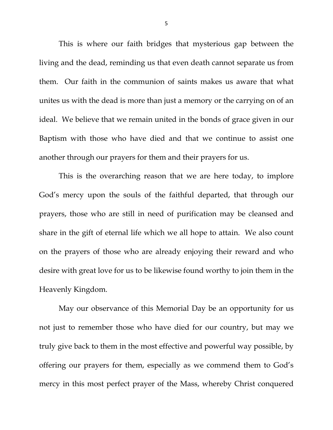This is where our faith bridges that mysterious gap between the living and the dead, reminding us that even death cannot separate us from them. Our faith in the communion of saints makes us aware that what unites us with the dead is more than just a memory or the carrying on of an ideal. We believe that we remain united in the bonds of grace given in our Baptism with those who have died and that we continue to assist one another through our prayers for them and their prayers for us.

This is the overarching reason that we are here today, to implore God's mercy upon the souls of the faithful departed, that through our prayers, those who are still in need of purification may be cleansed and share in the gift of eternal life which we all hope to attain. We also count on the prayers of those who are already enjoying their reward and who desire with great love for us to be likewise found worthy to join them in the Heavenly Kingdom.

May our observance of this Memorial Day be an opportunity for us not just to remember those who have died for our country, but may we truly give back to them in the most effective and powerful way possible, by offering our prayers for them, especially as we commend them to God's mercy in this most perfect prayer of the Mass, whereby Christ conquered

5